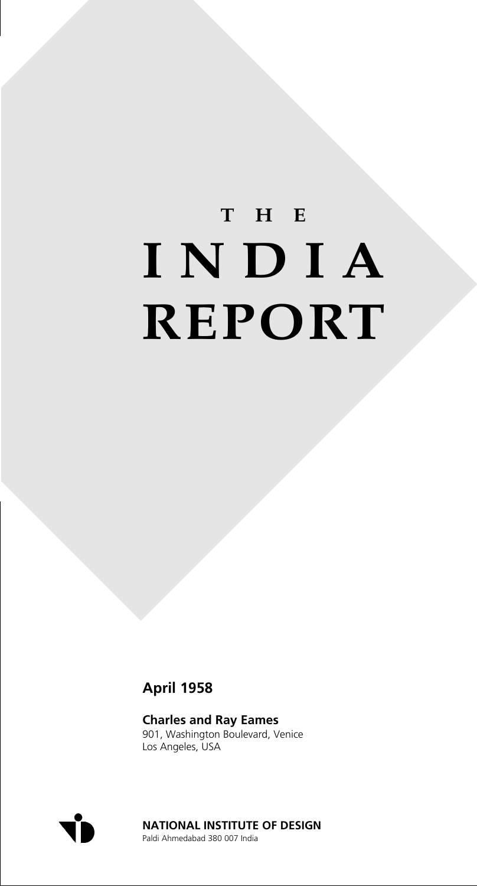# **T H E INDIA REPORT**

# **April 1958**

# **Charles and Ray Eames**

901, Washington Boulevard, Venice Los Angeles, USA



**NATIONAL INSTITUTE OF DESIGN** Paldi Ahmedabad 380 007 India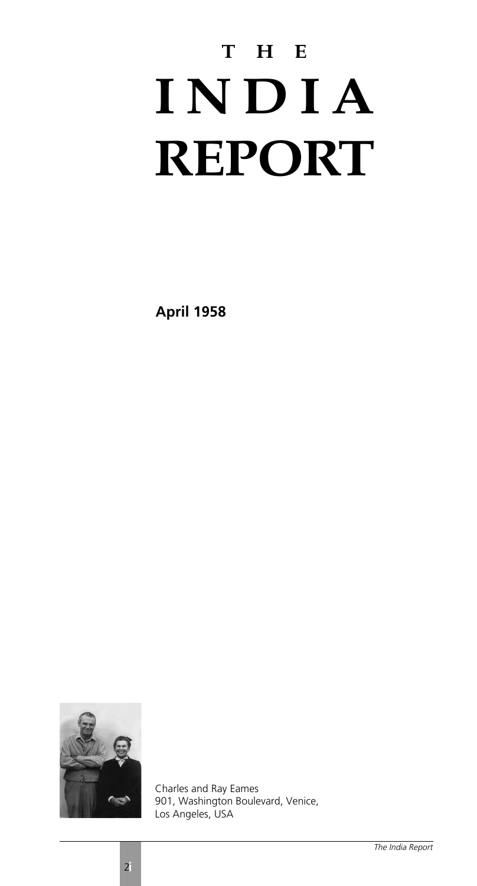# **T H E INDIA REPORT**

**April 1958**



Charles and Ray Eames 901, Washington Boulevard, Venice, Los Angeles, USA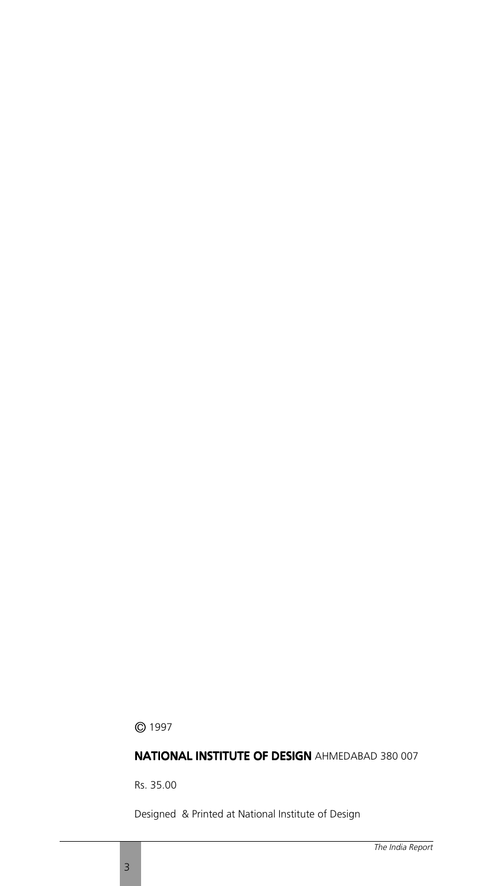© 1997

# NATIONAL INSTITUTE OF DESIGN AHMEDABAD 380 007

Rs. 35.00

Designed & Printed at National Institute of Design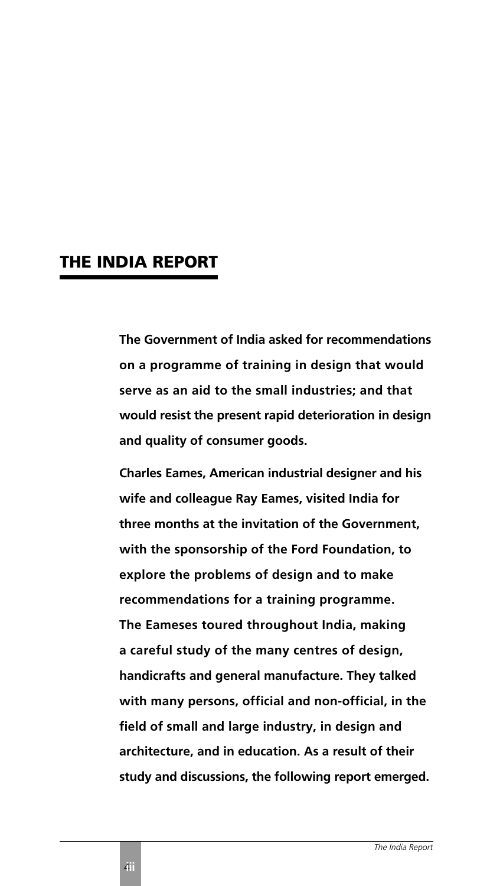# THE INDIA REPORT

**The Government of India asked for recommendations on a programme of training in design that would serve as an aid to the small industries; and that would resist the present rapid deterioration in design and quality of consumer goods.**

**Charles Eames, American industrial designer and his wife and colleague Ray Eames, visited India for three months at the invitation of the Government, with the sponsorship of the Ford Foundation, to explore the problems of design and to make recommendations for a training programme. The Eameses toured throughout India, making a careful study of the many centres of design, handicrafts and general manufacture. They talked with many persons, official and non-official, in the field of small and large industry, in design and architecture, and in education. As a result of their study and discussions, the following report emerged.**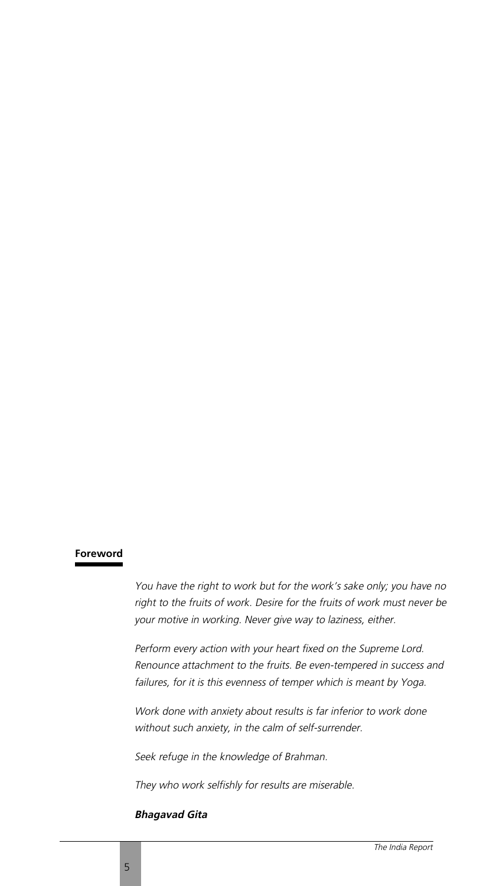#### **Foreword**

You have the right to work but for the work's sake only; you have no right to the fruits of work. Desire for the fruits of work must never be your motive in working. Never give way to laziness, either.

Perform every action with your heart fixed on the Supreme Lord. Renounce attachment to the fruits. Be even-tempered in success and failures, for it is this evenness of temper which is meant by Yoga.

Work done with anxiety about results is far inferior to work done without such anxiety, in the calm of self-surrender.

Seek refuge in the knowledge of Brahman.

They who work selfishly for results are miserable.

#### **Bhagavad Gita**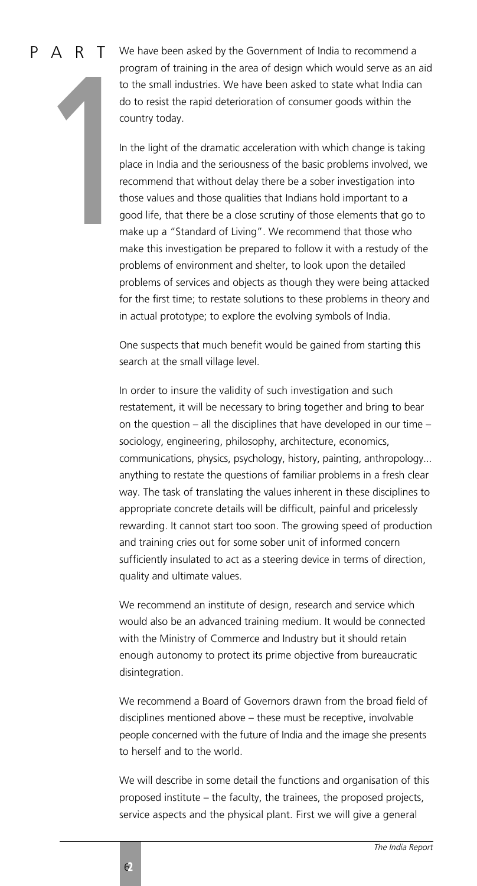$P$   $A$   $R$   $T$  We have been asked by the Government of India to recommend a program of training in the area of design which would serve as an aid to the small industries. We have been asked to state what India can do to resist the rapid deterioration of consumer goods within the country today.

In the light of the dramatic acceleration with which change is taking place in India and the seriousness of the basic problems involved, we recommend that without delay there be a sober investigation into those values and those qualities that Indians hold important to a good life, that there be a close scrutiny of those elements that go to make up a "Standard of Living". We recommend that those who make this investigation be prepared to follow it with a restudy of the problems of environment and shelter, to look upon the detailed problems of services and objects as though they were being attacked for the first time; to restate solutions to these problems in theory and in actual prototype; to explore the evolving symbols of India. 1

> One suspects that much benefit would be gained from starting this search at the small village level.

In order to insure the validity of such investigation and such restatement, it will be necessary to bring together and bring to bear on the question – all the disciplines that have developed in our time – sociology, engineering, philosophy, architecture, economics, communications, physics, psychology, history, painting, anthropology... anything to restate the questions of familiar problems in a fresh clear way. The task of translating the values inherent in these disciplines to appropriate concrete details will be difficult, painful and pricelessly rewarding. It cannot start too soon. The growing speed of production and training cries out for some sober unit of informed concern sufficiently insulated to act as a steering device in terms of direction, quality and ultimate values.

We recommend an institute of design, research and service which would also be an advanced training medium. It would be connected with the Ministry of Commerce and Industry but it should retain enough autonomy to protect its prime objective from bureaucratic disintegration.

We recommend a Board of Governors drawn from the broad field of disciplines mentioned above – these must be receptive, involvable people concerned with the future of India and the image she presents to herself and to the world.

We will describe in some detail the functions and organisation of this proposed institute – the faculty, the trainees, the proposed projects, service aspects and the physical plant. First we will give a general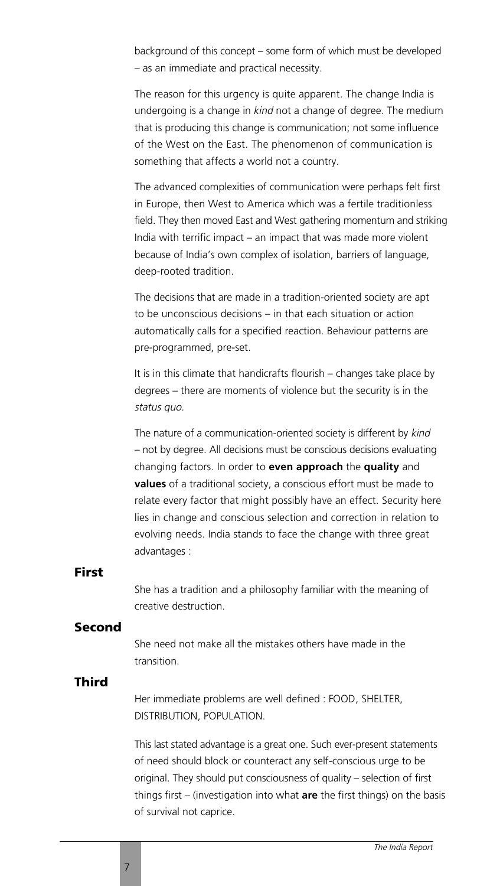background of this concept – some form of which must be developed – as an immediate and practical necessity.

The reason for this urgency is quite apparent. The change India is undergoing is a change in *kind* not a change of degree. The medium that is producing this change is communication; not some influence of the West on the East. The phenomenon of communication is something that affects a world not a country.

The advanced complexities of communication were perhaps felt first in Europe, then West to America which was a fertile traditionless field. They then moved East and West gathering momentum and striking India with terrific impact – an impact that was made more violent because of India's own complex of isolation, barriers of language, deep-rooted tradition.

The decisions that are made in a tradition-oriented society are apt to be unconscious decisions – in that each situation or action automatically calls for a specified reaction. Behaviour patterns are pre-programmed, pre-set.

It is in this climate that handicrafts flourish – changes take place by degrees – there are moments of violence but the security is in the status quo.

The nature of a communication-oriented society is different by kind – not by degree. All decisions must be conscious decisions evaluating changing factors. In order to **even approach** the **quality** and **values** of a traditional society, a conscious effort must be made to relate every factor that might possibly have an effect. Security here lies in change and conscious selection and correction in relation to evolving needs. India stands to face the change with three great advantages :

#### First

She has a tradition and a philosophy familiar with the meaning of creative destruction.

#### **Second**

She need not make all the mistakes others have made in the transition.

## Third

Her immediate problems are well defined : FOOD, SHELTER, DISTRIBUTION, POPULATION.

This last stated advantage is a great one. Such ever-present statements of need should block or counteract any self-conscious urge to be original. They should put consciousness of quality – selection of first things first – (investigation into what **are** the first things) on the basis of survival not caprice.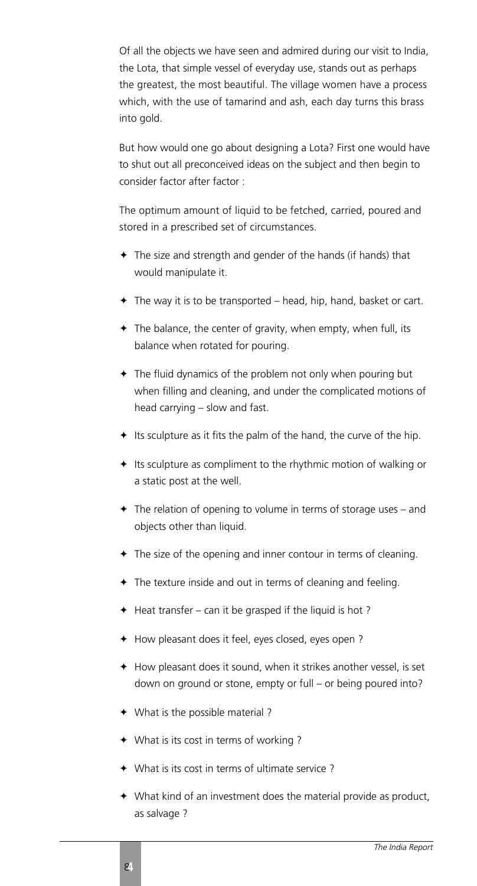Of all the objects we have seen and admired during our visit to India, the Lota, that simple vessel of everyday use, stands out as perhaps the greatest, the most beautiful. The village women have a process which, with the use of tamarind and ash, each day turns this brass into gold.

But how would one go about designing a Lota? First one would have to shut out all preconceived ideas on the subject and then begin to consider factor after factor :

The optimum amount of liquid to be fetched, carried, poured and stored in a prescribed set of circumstances.

- ✦ The size and strength and gender of the hands (if hands) that would manipulate it.
- $\triangleleft$  The way it is to be transported head, hip, hand, basket or cart.
- ✦ The balance, the center of gravity, when empty, when full, its balance when rotated for pouring.
- ✦ The fluid dynamics of the problem not only when pouring but when filling and cleaning, and under the complicated motions of head carrying – slow and fast.
- $\triangleq$  Its sculpture as it fits the palm of the hand, the curve of the hip.
- ✦ Its sculpture as compliment to the rhythmic motion of walking or a static post at the well.
- ✦ The relation of opening to volume in terms of storage uses and objects other than liquid.
- ✦ The size of the opening and inner contour in terms of cleaning.
- ✦ The texture inside and out in terms of cleaning and feeling.
- $\triangleleft$  Heat transfer can it be grasped if the liquid is hot ?
- ✦ How pleasant does it feel, eyes closed, eyes open ?
- ✦ How pleasant does it sound, when it strikes another vessel, is set down on ground or stone, empty or full – or being poured into?
- ✦ What is the possible material ?
- ✦ What is its cost in terms of working ?
- ✦ What is its cost in terms of ultimate service ?
- ✦ What kind of an investment does the material provide as product, as salvage ?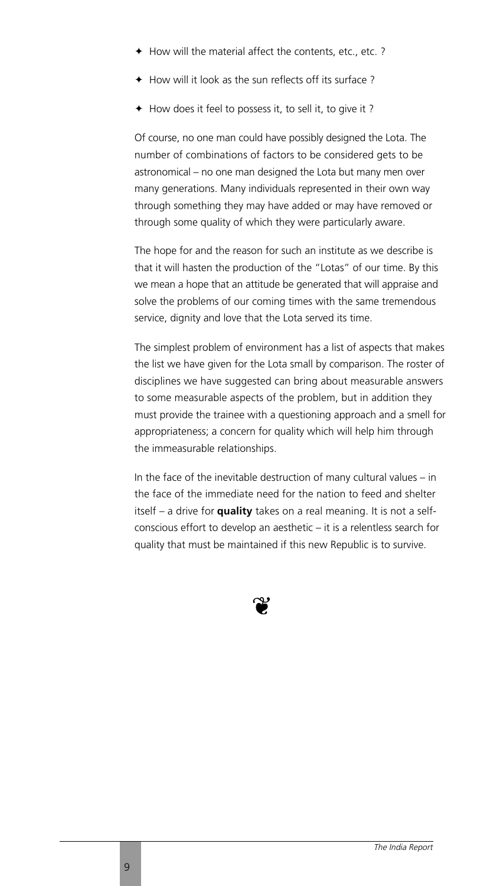- ✦ How will the material affect the contents, etc., etc. ?
- ✦ How will it look as the sun reflects off its surface ?
- ✦ How does it feel to possess it, to sell it, to give it ?

Of course, no one man could have possibly designed the Lota. The number of combinations of factors to be considered gets to be astronomical – no one man designed the Lota but many men over many generations. Many individuals represented in their own way through something they may have added or may have removed or through some quality of which they were particularly aware.

The hope for and the reason for such an institute as we describe is that it will hasten the production of the "Lotas" of our time. By this we mean a hope that an attitude be generated that will appraise and solve the problems of our coming times with the same tremendous service, dignity and love that the Lota served its time.

The simplest problem of environment has a list of aspects that makes the list we have given for the Lota small by comparison. The roster of disciplines we have suggested can bring about measurable answers to some measurable aspects of the problem, but in addition they must provide the trainee with a questioning approach and a smell for appropriateness; a concern for quality which will help him through the immeasurable relationships.

In the face of the inevitable destruction of many cultural values – in the face of the immediate need for the nation to feed and shelter itself – a drive for **quality** takes on a real meaning. It is not a selfconscious effort to develop an aesthetic – it is a relentless search for quality that must be maintained if this new Republic is to survive.

❦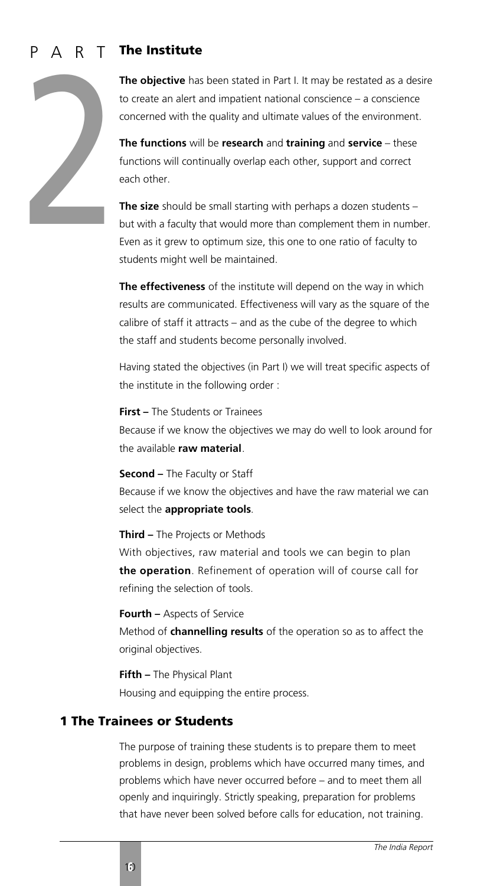# $P$   $A$   $R$   $T$  The Institute



**The functions** will be **research** and **training** and **service** – these functions will continually overlap each other, support and correct each other.

**The size** should be small starting with perhaps a dozen students – but with a faculty that would more than complement them in number. Even as it grew to optimum size, this one to one ratio of faculty to students might well be maintained.

**The effectiveness** of the institute will depend on the way in which results are communicated. Effectiveness will vary as the square of the calibre of staff it attracts – and as the cube of the degree to which the staff and students become personally involved.

Having stated the objectives (in Part I) we will treat specific aspects of the institute in the following order :

**First –** The Students or Trainees Because if we know the objectives we may do well to look around for the available **raw material**.

**Second –** The Faculty or Staff Because if we know the objectives and have the raw material we can select the **appropriate tools**.

#### **Third –** The Projects or Methods

With objectives, raw material and tools we can begin to plan **the operation**. Refinement of operation will of course call for refining the selection of tools.

#### **Fourth –** Aspects of Service

Method of **channelling results** of the operation so as to affect the original objectives.

**Fifth –** The Physical Plant

Housing and equipping the entire process.

#### 1 The Trainees or Students

The purpose of training these students is to prepare them to meet problems in design, problems which have occurred many times, and problems which have never occurred before – and to meet them all openly and inquiringly. Strictly speaking, preparation for problems that have never been solved before calls for education, not training.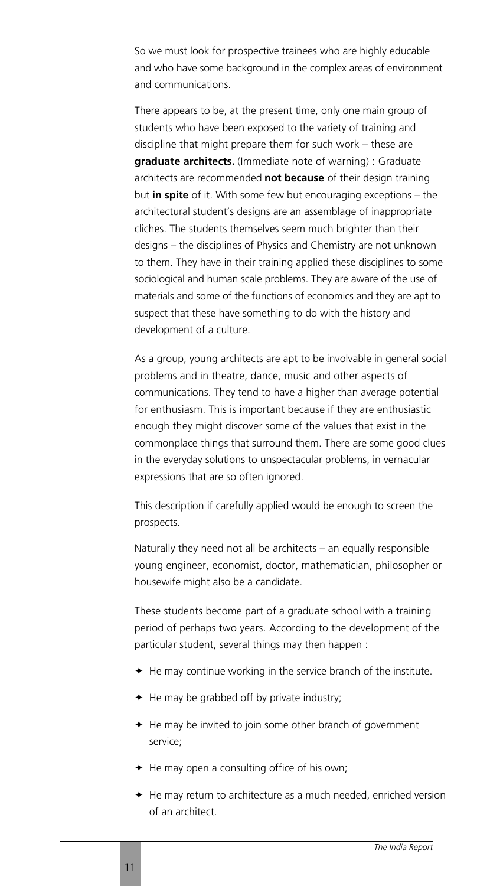So we must look for prospective trainees who are highly educable and who have some background in the complex areas of environment and communications.

There appears to be, at the present time, only one main group of students who have been exposed to the variety of training and discipline that might prepare them for such work – these are **graduate architects.** (Immediate note of warning) : Graduate architects are recommended **not because** of their design training but **in spite** of it. With some few but encouraging exceptions – the architectural student's designs are an assemblage of inappropriate cliches. The students themselves seem much brighter than their designs – the disciplines of Physics and Chemistry are not unknown to them. They have in their training applied these disciplines to some sociological and human scale problems. They are aware of the use of materials and some of the functions of economics and they are apt to suspect that these have something to do with the history and development of a culture.

As a group, young architects are apt to be involvable in general social problems and in theatre, dance, music and other aspects of communications. They tend to have a higher than average potential for enthusiasm. This is important because if they are enthusiastic enough they might discover some of the values that exist in the commonplace things that surround them. There are some good clues in the everyday solutions to unspectacular problems, in vernacular expressions that are so often ignored.

This description if carefully applied would be enough to screen the prospects.

Naturally they need not all be architects – an equally responsible young engineer, economist, doctor, mathematician, philosopher or housewife might also be a candidate.

These students become part of a graduate school with a training period of perhaps two years. According to the development of the particular student, several things may then happen :

- ✦ He may continue working in the service branch of the institute.
- ✦ He may be grabbed off by private industry;
- ✦ He may be invited to join some other branch of government service;
- ✦ He may open a consulting office of his own;
- ✦ He may return to architecture as a much needed, enriched version of an architect.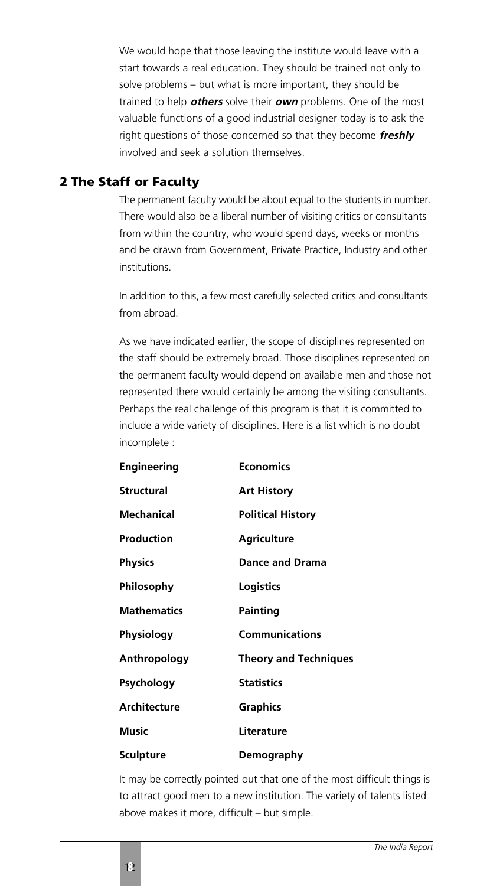We would hope that those leaving the institute would leave with a start towards a real education. They should be trained not only to solve problems – but what is more important, they should be trained to help **others** solve their **own** problems. One of the most valuable functions of a good industrial designer today is to ask the right questions of those concerned so that they become **freshly** involved and seek a solution themselves.

#### 2 The Staff or Faculty

The permanent faculty would be about equal to the students in number. There would also be a liberal number of visiting critics or consultants from within the country, who would spend days, weeks or months and be drawn from Government, Private Practice, Industry and other institutions.

In addition to this, a few most carefully selected critics and consultants from abroad.

As we have indicated earlier, the scope of disciplines represented on the staff should be extremely broad. Those disciplines represented on the permanent faculty would depend on available men and those not represented there would certainly be among the visiting consultants. Perhaps the real challenge of this program is that it is committed to include a wide variety of disciplines. Here is a list which is no doubt incomplete :

| <b>Engineering</b>  | <b>Economics</b>             |
|---------------------|------------------------------|
| Structural          | <b>Art History</b>           |
| <b>Mechanical</b>   | <b>Political History</b>     |
| Production          | <b>Agriculture</b>           |
| <b>Physics</b>      | <b>Dance and Drama</b>       |
| Philosophy          | <b>Logistics</b>             |
| <b>Mathematics</b>  | <b>Painting</b>              |
| Physiology          | <b>Communications</b>        |
| Anthropology        | <b>Theory and Techniques</b> |
| Psychology          | <b>Statistics</b>            |
| <b>Architecture</b> | <b>Graphics</b>              |
| <b>Music</b>        | Literature                   |
| <b>Sculpture</b>    | <b>Demography</b>            |

It may be correctly pointed out that one of the most difficult things is to attract good men to a new institution. The variety of talents listed above makes it more, difficult – but simple.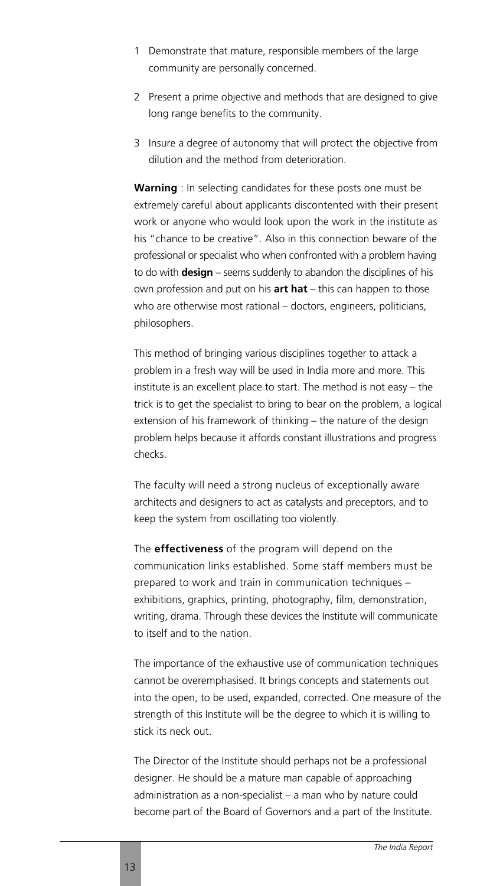- 1 Demonstrate that mature, responsible members of the large community are personally concerned.
- 2 Present a prime objective and methods that are designed to give long range benefits to the community.
- 3 Insure a degree of autonomy that will protect the objective from dilution and the method from deterioration.

**Warning** : In selecting candidates for these posts one must be extremely careful about applicants discontented with their present work or anyone who would look upon the work in the institute as his "chance to be creative". Also in this connection beware of the professional or specialist who when confronted with a problem having to do with **design** – seems suddenly to abandon the disciplines of his own profession and put on his **art hat** – this can happen to those who are otherwise most rational – doctors, engineers, politicians, philosophers.

This method of bringing various disciplines together to attack a problem in a fresh way will be used in India more and more. This institute is an excellent place to start. The method is not easy – the trick is to get the specialist to bring to bear on the problem, a logical extension of his framework of thinking – the nature of the design problem helps because it affords constant illustrations and progress checks.

The faculty will need a strong nucleus of exceptionally aware architects and designers to act as catalysts and preceptors, and to keep the system from oscillating too violently.

The **effectiveness** of the program will depend on the communication links established. Some staff members must be prepared to work and train in communication techniques – exhibitions, graphics, printing, photography, film, demonstration, writing, drama. Through these devices the Institute will communicate to itself and to the nation.

The importance of the exhaustive use of communication techniques cannot be overemphasised. It brings concepts and statements out into the open, to be used, expanded, corrected. One measure of the strength of this Institute will be the degree to which it is willing to stick its neck out.

The Director of the Institute should perhaps not be a professional designer. He should be a mature man capable of approaching administration as a non-specialist – a man who by nature could become part of the Board of Governors and a part of the Institute.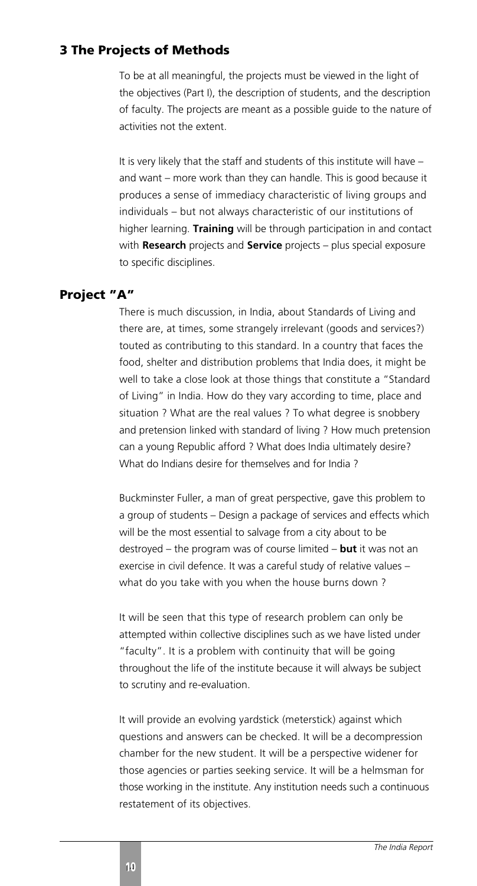# 3 The Projects of Methods

To be at all meaningful, the projects must be viewed in the light of the objectives (Part I), the description of students, and the description of faculty. The projects are meant as a possible guide to the nature of activities not the extent.

It is very likely that the staff and students of this institute will have – and want – more work than they can handle. This is good because it produces a sense of immediacy characteristic of living groups and individuals – but not always characteristic of our institutions of higher learning. **Training** will be through participation in and contact with **Research** projects and **Service** projects – plus special exposure to specific disciplines.

# Project "A"

There is much discussion, in India, about Standards of Living and there are, at times, some strangely irrelevant (goods and services?) touted as contributing to this standard. In a country that faces the food, shelter and distribution problems that India does, it might be well to take a close look at those things that constitute a "Standard of Living" in India. How do they vary according to time, place and situation ? What are the real values ? To what degree is snobbery and pretension linked with standard of living ? How much pretension can a young Republic afford ? What does India ultimately desire? What do Indians desire for themselves and for India ?

Buckminster Fuller, a man of great perspective, gave this problem to a group of students – Design a package of services and effects which will be the most essential to salvage from a city about to be destroyed – the program was of course limited – **but** it was not an exercise in civil defence. It was a careful study of relative values – what do you take with you when the house burns down ?

It will be seen that this type of research problem can only be attempted within collective disciplines such as we have listed under "faculty". It is a problem with continuity that will be going throughout the life of the institute because it will always be subject to scrutiny and re-evaluation.

It will provide an evolving yardstick (meterstick) against which questions and answers can be checked. It will be a decompression chamber for the new student. It will be a perspective widener for those agencies or parties seeking service. It will be a helmsman for those working in the institute. Any institution needs such a continuous restatement of its objectives.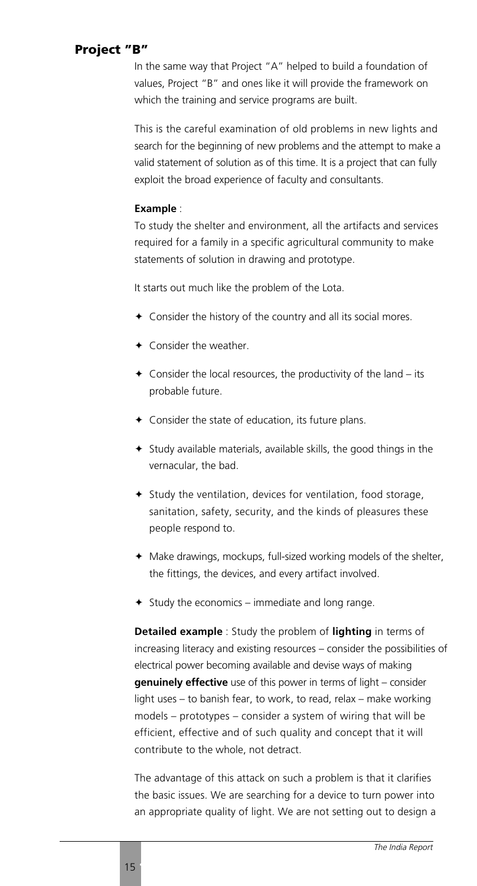## Project "B"

In the same way that Project "A" helped to build a foundation of values, Project "B" and ones like it will provide the framework on which the training and service programs are built.

This is the careful examination of old problems in new lights and search for the beginning of new problems and the attempt to make a valid statement of solution as of this time. It is a project that can fully exploit the broad experience of faculty and consultants.

#### **Example** :

To study the shelter and environment, all the artifacts and services required for a family in a specific agricultural community to make statements of solution in drawing and prototype.

It starts out much like the problem of the Lota.

- ✦ Consider the history of the country and all its social mores.
- ✦ Consider the weather.
- $\triangleleft$  Consider the local resources, the productivity of the land its probable future.
- ✦ Consider the state of education, its future plans.
- ✦ Study available materials, available skills, the good things in the vernacular, the bad.
- ✦ Study the ventilation, devices for ventilation, food storage, sanitation, safety, security, and the kinds of pleasures these people respond to.
- ✦ Make drawings, mockups, full-sized working models of the shelter, the fittings, the devices, and every artifact involved.
- $\triangleleft$  Study the economics immediate and long range.

**Detailed example** : Study the problem of **lighting** in terms of increasing literacy and existing resources – consider the possibilities of electrical power becoming available and devise ways of making **genuinely effective** use of this power in terms of light – consider light uses – to banish fear, to work, to read, relax – make working models – prototypes – consider a system of wiring that will be efficient, effective and of such quality and concept that it will contribute to the whole, not detract.

The advantage of this attack on such a problem is that it clarifies the basic issues. We are searching for a device to turn power into an appropriate quality of light. We are not setting out to design a

l -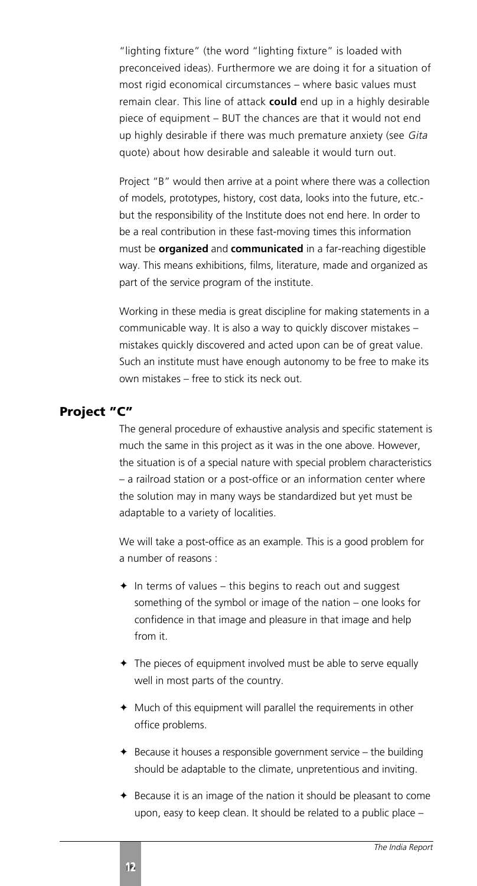"lighting fixture" (the word "lighting fixture" is loaded with preconceived ideas). Furthermore we are doing it for a situation of most rigid economical circumstances – where basic values must remain clear. This line of attack **could** end up in a highly desirable piece of equipment – BUT the chances are that it would not end up highly desirable if there was much premature anxiety (see Gita quote) about how desirable and saleable it would turn out.

Project "B" would then arrive at a point where there was a collection of models, prototypes, history, cost data, looks into the future, etc. but the responsibility of the Institute does not end here. In order to be a real contribution in these fast-moving times this information must be **organized** and **communicated** in a far-reaching digestible way. This means exhibitions, films, literature, made and organized as part of the service program of the institute.

Working in these media is great discipline for making statements in a communicable way. It is also a way to quickly discover mistakes – mistakes quickly discovered and acted upon can be of great value. Such an institute must have enough autonomy to be free to make its own mistakes – free to stick its neck out.

## Project "C"

The general procedure of exhaustive analysis and specific statement is much the same in this project as it was in the one above. However, the situation is of a special nature with special problem characteristics – a railroad station or a post-office or an information center where the solution may in many ways be standardized but yet must be adaptable to a variety of localities.

We will take a post-office as an example. This is a good problem for a number of reasons :

- $\triangleq$  In terms of values this begins to reach out and suggest something of the symbol or image of the nation – one looks for confidence in that image and pleasure in that image and help from it.
- ✦ The pieces of equipment involved must be able to serve equally well in most parts of the country.
- ✦ Much of this equipment will parallel the requirements in other office problems.
- $\triangle$  Because it houses a responsible government service the building should be adaptable to the climate, unpretentious and inviting.
- ✦ Because it is an image of the nation it should be pleasant to come upon, easy to keep clean. It should be related to a public place –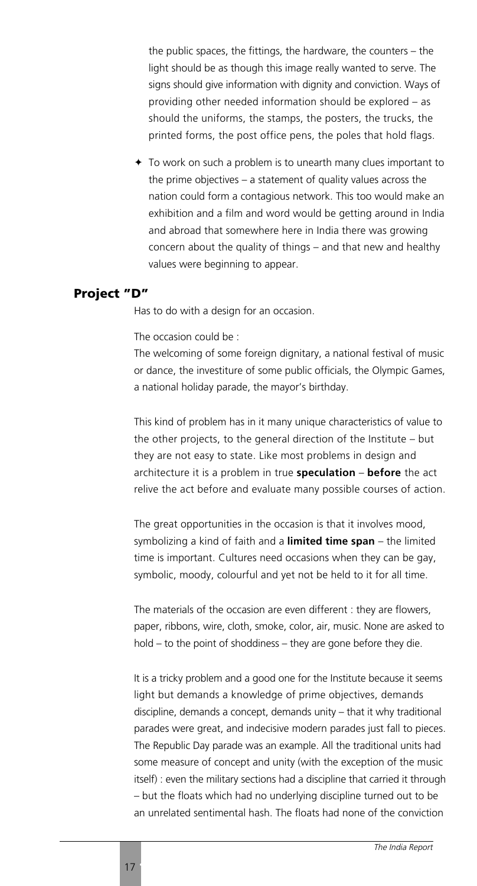the public spaces, the fittings, the hardware, the counters – the light should be as though this image really wanted to serve. The signs should give information with dignity and conviction. Ways of providing other needed information should be explored – as should the uniforms, the stamps, the posters, the trucks, the printed forms, the post office pens, the poles that hold flags.

✦ To work on such a problem is to unearth many clues important to the prime objectives – a statement of quality values across the nation could form a contagious network. This too would make an exhibition and a film and word would be getting around in India and abroad that somewhere here in India there was growing concern about the quality of things – and that new and healthy values were beginning to appear.

## Project "D"

Has to do with a design for an occasion.

The occasion could be :

The welcoming of some foreign dignitary, a national festival of music or dance, the investiture of some public officials, the Olympic Games, a national holiday parade, the mayor's birthday.

This kind of problem has in it many unique characteristics of value to the other projects, to the general direction of the Institute – but they are not easy to state. Like most problems in design and architecture it is a problem in true **speculation** – **before** the act relive the act before and evaluate many possible courses of action.

The great opportunities in the occasion is that it involves mood, symbolizing a kind of faith and a **limited time span** – the limited time is important. Cultures need occasions when they can be gay, symbolic, moody, colourful and yet not be held to it for all time.

The materials of the occasion are even different : they are flowers, paper, ribbons, wire, cloth, smoke, color, air, music. None are asked to hold – to the point of shoddiness – they are gone before they die.

It is a tricky problem and a good one for the Institute because it seems light but demands a knowledge of prime objectives, demands discipline, demands a concept, demands unity – that it why traditional parades were great, and indecisive modern parades just fall to pieces. The Republic Day parade was an example. All the traditional units had some measure of concept and unity (with the exception of the music itself) : even the military sections had a discipline that carried it through – but the floats which had no underlying discipline turned out to be an unrelated sentimental hash. The floats had none of the conviction

13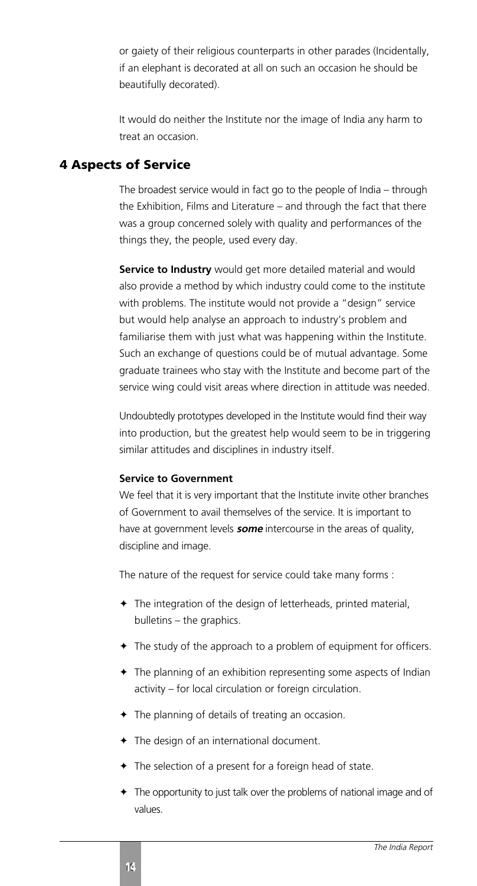or gaiety of their religious counterparts in other parades (Incidentally, if an elephant is decorated at all on such an occasion he should be beautifully decorated).

It would do neither the Institute nor the image of India any harm to treat an occasion.

## 4 Aspects of Service

The broadest service would in fact go to the people of India – through the Exhibition, Films and Literature – and through the fact that there was a group concerned solely with quality and performances of the things they, the people, used every day.

**Service to Industry** would get more detailed material and would also provide a method by which industry could come to the institute with problems. The institute would not provide a "design" service but would help analyse an approach to industry's problem and familiarise them with just what was happening within the Institute. Such an exchange of questions could be of mutual advantage. Some graduate trainees who stay with the Institute and become part of the service wing could visit areas where direction in attitude was needed.

Undoubtedly prototypes developed in the Institute would find their way into production, but the greatest help would seem to be in triggering similar attitudes and disciplines in industry itself.

#### **Service to Government**

We feel that it is very important that the Institute invite other branches of Government to avail themselves of the service. It is important to have at government levels **some** intercourse in the areas of quality, discipline and image.

The nature of the request for service could take many forms :

- ✦ The integration of the design of letterheads, printed material, bulletins – the graphics.
- ✦ The study of the approach to a problem of equipment for officers.
- ✦ The planning of an exhibition representing some aspects of Indian activity – for local circulation or foreign circulation.
- ✦ The planning of details of treating an occasion.
- ✦ The design of an international document.
- ✦ The selection of a present for a foreign head of state.
- ✦ The opportunity to just talk over the problems of national image and of values.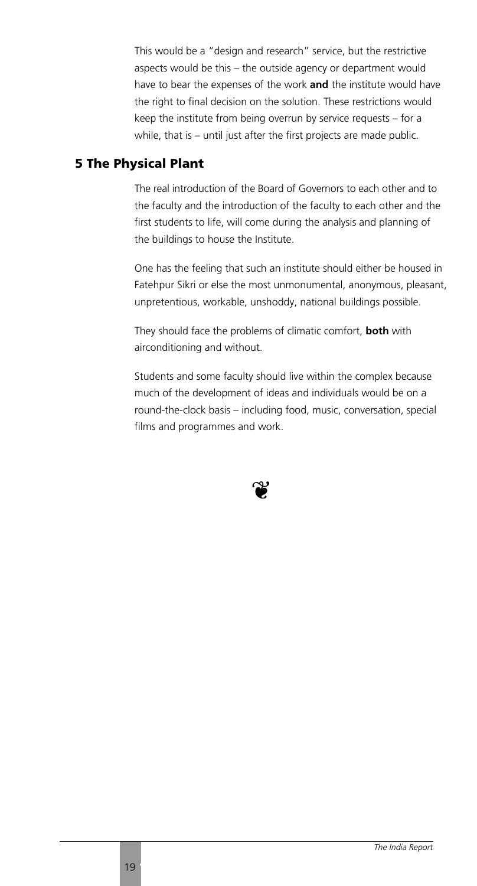This would be a "design and research" service, but the restrictive aspects would be this – the outside agency or department would have to bear the expenses of the work **and** the institute would have the right to final decision on the solution. These restrictions would keep the institute from being overrun by service requests – for a while, that is – until just after the first projects are made public.

## 5 The Physical Plant

The real introduction of the Board of Governors to each other and to the faculty and the introduction of the faculty to each other and the first students to life, will come during the analysis and planning of the buildings to house the Institute.

One has the feeling that such an institute should either be housed in Fatehpur Sikri or else the most unmonumental, anonymous, pleasant, unpretentious, workable, unshoddy, national buildings possible.

They should face the problems of climatic comfort, **both** with airconditioning and without.

Students and some faculty should live within the complex because much of the development of ideas and individuals would be on a round-the-clock basis – including food, music, conversation, special films and programmes and work.



15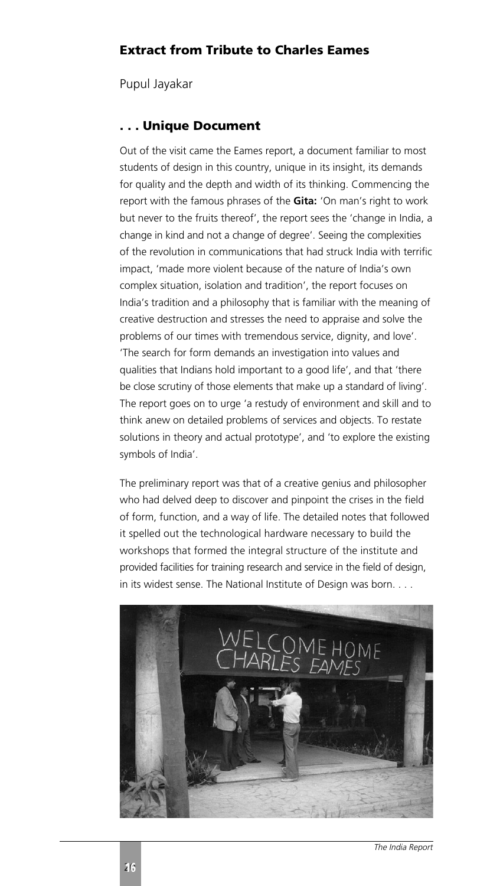## Extract from Tribute to Charles Eames

Pupul Jayakar

#### . . . Unique Document

Out of the visit came the Eames report, a document familiar to most students of design in this country, unique in its insight, its demands for quality and the depth and width of its thinking. Commencing the report with the famous phrases of the **Gita:** 'On man's right to work but never to the fruits thereof', the report sees the 'change in India, a change in kind and not a change of degree'. Seeing the complexities of the revolution in communications that had struck India with terrific impact, 'made more violent because of the nature of India's own complex situation, isolation and tradition', the report focuses on India's tradition and a philosophy that is familiar with the meaning of creative destruction and stresses the need to appraise and solve the problems of our times with tremendous service, dignity, and love'. 'The search for form demands an investigation into values and qualities that Indians hold important to a good life', and that 'there be close scrutiny of those elements that make up a standard of living'. The report goes on to urge 'a restudy of environment and skill and to think anew on detailed problems of services and objects. To restate solutions in theory and actual prototype', and 'to explore the existing symbols of India'.

The preliminary report was that of a creative genius and philosopher who had delved deep to discover and pinpoint the crises in the field of form, function, and a way of life. The detailed notes that followed it spelled out the technological hardware necessary to build the workshops that formed the integral structure of the institute and provided facilities for training research and service in the field of design, in its widest sense. The National Institute of Design was born. . . .